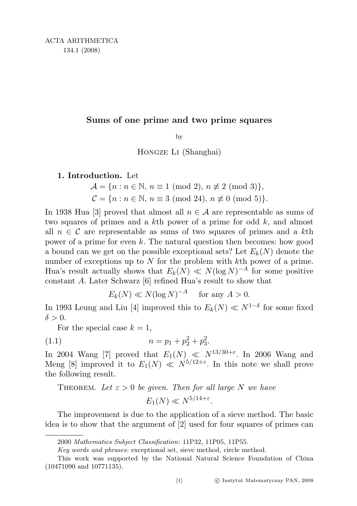## Sums of one prime and two prime squares

by

Hongze Li (Shanghai)

## 1. Introduction. Let

$$
\mathcal{A} = \{n : n \in \mathbb{N}, n \equiv 1 \pmod{2}, n \not\equiv 2 \pmod{3}\},\
$$
  

$$
\mathcal{C} = \{n : n \in \mathbb{N}, n \equiv 3 \pmod{24}, n \not\equiv 0 \pmod{5}\}.
$$

In 1938 Hua [3] proved that almost all  $n \in \mathcal{A}$  are representable as sums of two squares of primes and a  $k$ <sup>th</sup> power of a prime for odd  $k$ , and almost all  $n \in \mathcal{C}$  are representable as sums of two squares of primes and a kth power of a prime for even k. The natural question then becomes: how good a bound can we get on the possible exceptional sets? Let  $E_k(N)$  denote the number of exceptions up to  $N$  for the problem with kth power of a prime. Hua's result actually shows that  $E_k(N) \ll N(\log N)^{-A}$  for some positive constant A. Later Schwarz [6] refined Hua's result to show that

$$
E_k(N) \ll N(\log N)^{-A} \quad \text{ for any } A > 0.
$$

In 1993 Leung and Liu [4] improved this to  $E_k(N) \ll N^{1-\delta}$  for some fixed  $\delta > 0$ .

For the special case  $k = 1$ ,

(1.1) 
$$
n = p_1 + p_2^2 + p_3^2.
$$

In 2004 Wang [7] proved that  $E_1(N) \ll N^{13/30+\epsilon}$ . In 2006 Wang and Meng [8] improved it to  $E_1(N) \ll N^{5/12+\epsilon}$ . In this note we shall prove the following result.

## THEOREM. Let  $\varepsilon > 0$  be given. Then for all large N we have

$$
E_1(N) \ll N^{5/14+\varepsilon}.
$$

The improvement is due to the application of a sieve method. The basic idea is to show that the argument of [2] used for four squares of primes can

<sup>2000</sup> Mathematics Subject Classification: 11P32, 11P05, 11P55.

Key words and phrases: exceptional set, sieve method, circle method.

This work was supported by the National Natural Science Foundation of China (10471090 and 10771135).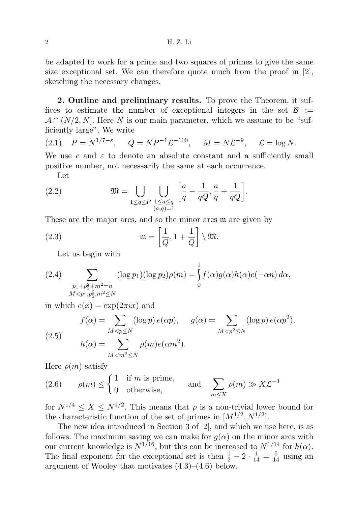be adapted to work for a prime and two squares of primes to give the same size exceptional set. We can therefore quote much from the proof in  $[2]$ , sketching the necessary changes.

2. Outline and preliminary results. To prove the Theorem, it suffices to estimate the number of exceptional integers in the set  $\mathcal{B}$  :=  $\mathcal{A} \cap (N/2, N]$ . Here N is our main parameter, which we assume to be "sufficiently large". We write

(2.1) 
$$
P = N^{1/7 - \varepsilon}
$$
,  $Q = NP^{-1} \mathcal{L}^{-100}$ ,  $M = N \mathcal{L}^{-9}$ ,  $\mathcal{L} = \log N$ .

We use c and  $\varepsilon$  to denote an absolute constant and a sufficiently small positive number, not necessarily the same at each occurrence.

Let

(2.2) 
$$
\mathfrak{M} = \bigcup_{1 \leq q \leq P} \bigcup_{\substack{1 \leq a \leq q \\ (a,q)=1}} \left[ \frac{a}{q} - \frac{1}{qQ}, \frac{a}{q} + \frac{1}{qQ} \right].
$$

These are the major arcs, and so the minor arcs **m** are given by

(2.3) 
$$
\mathfrak{m} = \left[\frac{1}{Q}, 1 + \frac{1}{Q}\right] \setminus \mathfrak{M}.
$$

Let us begin with

(2.4) 
$$
\sum_{\substack{p_1+p_2^2+m^2=n\\M
$$

in which  $e(x) = \exp(2\pi i x)$  and

(2.5)  

$$
f(\alpha) = \sum_{M < p \le N} (\log p) e(\alpha p), \quad g(\alpha) = \sum_{M < p^2 \le N} (\log p) e(\alpha p^2),
$$

$$
h(\alpha) = \sum_{M < m^2 \le N} \rho(m) e(\alpha m^2).
$$

Here  $\rho(m)$  satisfy

 $\rho(m) \leq \begin{cases} 1 & \text{if } m \text{ is prime,} \\ 0 & \text{otherwise.} \end{cases}$ 0 otherwise, and  $\sum$  $m \leq X$  $\rho(m) \leq \begin{cases} 1 & \text{if } m \text{ is prime,} \\ 0 & \text{if } m \end{cases}$  and  $\sum \rho(m) \gg X \mathcal{L}^{-1}$ 

for  $N^{1/4} \leq X \leq N^{1/2}$ . This means that  $\rho$  is a non-trivial lower bound for the characteristic function of the set of primes in  $[M^{1/2}, N^{1/2}]$ .

The new idea introduced in Section 3 of [2], and which we use here, is as follows. The maximum saving we can make for  $g(\alpha)$  on the minor arcs with our current knowledge is  $N^{1/16}$ , but this can be increased to  $N^{1/14}$  for  $h(\alpha)$ . The final exponent for the exceptional set is then  $\frac{1}{2} - 2 \cdot \frac{1}{14} = \frac{5}{14}$  using an argument of Wooley that motivates  $(4.3)$ – $(4.6)$  below.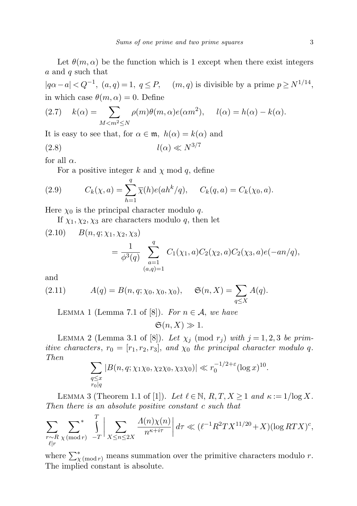Let  $\theta(m, \alpha)$  be the function which is 1 except when there exist integers a and q such that

 $|q\alpha - a| < Q^{-1}$ ,  $(a, q) = 1$ ,  $q \leq P$ ,  $(m, q)$  is divisible by a prime  $p \geq N^{1/14}$ , in which case  $\theta(m, \alpha) = 0$ . Define

(2.7) 
$$
k(\alpha) = \sum_{M < m^2 \le N} \rho(m)\theta(m,\alpha)e(\alpha m^2), \quad l(\alpha) = h(\alpha) - k(\alpha).
$$

It is easy to see that, for  $\alpha \in \mathfrak{m}$ ,  $h(\alpha) = k(\alpha)$  and

$$
l(\alpha) \ll N^{3/7}
$$

for all  $\alpha$ .

For a positive integer k and  $\chi$  mod q, define

(2.9) 
$$
C_k(\chi, a) = \sum_{h=1}^q \overline{\chi}(h) e(ah^k/q), \quad C_k(q, a) = C_k(\chi_0, a).
$$

Here  $\chi_0$  is the principal character modulo q.

If  $\chi_1, \chi_2, \chi_3$  are characters modulo q, then let

(2.10) 
$$
B(n, q; \chi_1, \chi_2, \chi_3)
$$
  
=  $\frac{1}{\phi^3(q)}$   $\sum_{\substack{a=1 \ (a,q)=1}}^q C_1(\chi_1, a)C_2(\chi_2, a)C_2(\chi_3, a)e(-an/q),$ 

and

(2.11) 
$$
A(q) = B(n, q; \chi_0, \chi_0, \chi_0), \quad \mathfrak{S}(n, X) = \sum_{q \leq X} A(q).
$$

LEMMA 1 (Lemma 7.1 of [8]). For  $n \in \mathcal{A}$ , we have

 $\mathfrak{S}(n, X) \gg 1.$ 

LEMMA 2 (Lemma 3.1 of [8]). Let  $\chi_j \pmod{r_j}$  with  $j = 1, 2, 3$  be primitive characters,  $r_0 = [r_1, r_2, r_3]$ , and  $\chi_0$  the principal character modulo q. Then

$$
\sum_{\substack{q \le x \\ r_0 | q}} |B(n, q; \chi_1 \chi_0, \chi_2 \chi_0, \chi_3 \chi_0)| \ll r_0^{-1/2 + \varepsilon} (\log x)^{10}.
$$

LEMMA 3 (Theorem 1.1 of [1]). Let  $\ell \in \mathbb{N}$ ,  $R, T, X \geq 1$  and  $\kappa := 1/\log X$ . Then there is an absolute positive constant c such that

$$
\sum_{\substack{r \sim R \\ \ell \mid r}} \sum_{\chi \pmod{r}}^* \int_{-T}^T \left| \sum_{X \le n \le 2X} \frac{A(n)\chi(n)}{n^{\kappa + i\tau}} \right| d\tau \ll (\ell^{-1}R^2TX^{11/20} + X)(\log RTX)^c,
$$

where  $\sum_{\chi \pmod{r}}^*$  means summation over the primitive characters modulo r. The implied constant is absolute.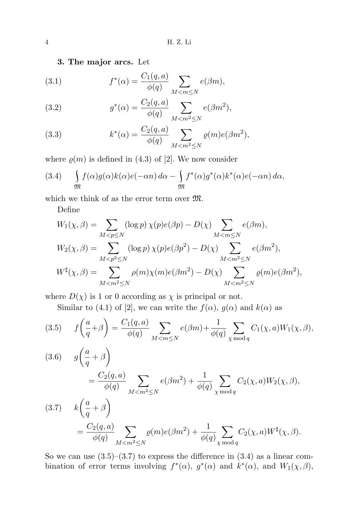3. The major arcs. Let

(3.1) 
$$
f^*(\alpha) = \frac{C_1(q, a)}{\phi(q)} \sum_{M < m \le N} e(\beta m),
$$

(3.2) 
$$
g^*(\alpha) = \frac{C_2(q, a)}{\phi(q)} \sum_{M < m^2 \le N} e(\beta m^2),
$$

(3.3) 
$$
k^*(\alpha) = \frac{C_2(q, a)}{\phi(q)} \sum_{M < m^2 \le N} \varrho(m) e(\beta m^2),
$$

where  $\rho(m)$  is defined in (4.3) of [2]. We now consider

(3.4) 
$$
\int_{\mathfrak{M}} f(\alpha)g(\alpha)k(\alpha)e(-\alpha n) d\alpha - \int_{\mathfrak{M}} f^*(\alpha)g^*(\alpha)k^*(\alpha)e(-\alpha n) d\alpha,
$$

which we think of as the error term over  $\mathfrak{M}$ .

Define

$$
W_1(\chi, \beta) = \sum_{M < p \le N} (\log p) \chi(p) e(\beta p) - D(\chi) \sum_{M < m \le N} e(\beta m),
$$
\n
$$
W_2(\chi, \beta) = \sum_{M < p^2 \le N} (\log p) \chi(p) e(\beta p^2) - D(\chi) \sum_{M < m^2 \le N} e(\beta m^2),
$$
\n
$$
W^{\sharp}(\chi, \beta) = \sum_{M < m^2 \le N} \rho(m) \chi(m) e(\beta m^2) - D(\chi) \sum_{M < m^2 \le N} \rho(m) e(\beta m^2),
$$

where  $D(\chi)$  is 1 or 0 according as  $\chi$  is principal or not.

Similar to (4.1) of [2], we can write the  $f(\alpha)$ ,  $g(\alpha)$  and  $k(\alpha)$  as

$$
(3.5) \t f\left(\frac{a}{q}+\beta\right) = \frac{C_1(q,a)}{\phi(q)} \sum_{M < m \le N} e(\beta m) + \frac{1}{\phi(q)} \sum_{\chi \bmod q} C_1(\chi, a) W_1(\chi, \beta),
$$

(3.6) 
$$
g\left(\frac{a}{q} + \beta\right)
$$
  
\n
$$
= \frac{C_2(q, a)}{\phi(q)} \sum_{M < m^2 \le N} e(\beta m^2) + \frac{1}{\phi(q)} \sum_{\chi \bmod q} C_2(\chi, a) W_2(\chi, \beta),
$$
  
\n(3.7) 
$$
k\left(\frac{a}{q} + \beta\right)
$$
  
\n
$$
= \frac{C_2(q, a)}{\phi(q)} \sum_{M < m^2 \le N} \rho(m) e(\beta m^2) + \frac{1}{\phi(q)} \sum_{\chi \bmod q} C_2(\chi, a) W^{\sharp}(\chi, \beta).
$$

So we can use  $(3.5)$ – $(3.7)$  to express the difference in  $(3.4)$  as a linear combination of error terms involving  $f^*(\alpha)$ ,  $g^*(\alpha)$  and  $k^*(\alpha)$ , and  $W_1(\chi,\beta)$ ,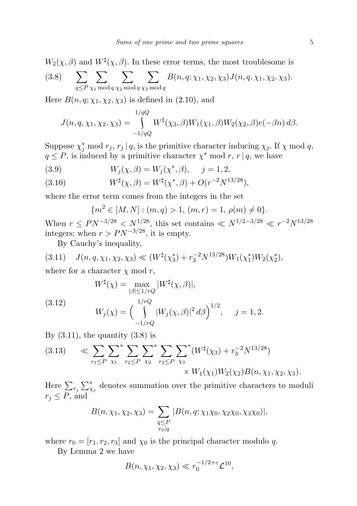$$
W_2(\chi,\beta) \text{ and } W^{\sharp}(\chi,\beta). \text{ In these error terms, the most troublesome is}
$$
  
(3.8) 
$$
\sum_{q \leq P} \sum_{\chi_1 \bmod q} \sum_{\chi_2 \bmod q} \sum_{\chi_3 \bmod q} B(n,q;\chi_1,\chi_2,\chi_3) J(n,q,\chi_1,\chi_2,\chi_3).
$$

Here  $B(n, q; \chi_1, \chi_2, \chi_3)$  is defined in (2.10), and

$$
J(n, q, \chi_1, \chi_2, \chi_3) = \int_{-1/qQ}^{1/qQ} W^{\sharp}(\chi_3, \beta) W_1(\chi_1, \beta) W_2(\chi_2, \beta) e(-\beta n) d\beta.
$$

Suppose  $\chi_j^*$  mod  $r_j$ ,  $r_j | q$ , is the primitive character inducing  $\chi_j$ . If  $\chi$  mod  $q$ ,  $q \leq P$ , is induced by a primitive character  $\chi^*$  mod r, r | q, we have

(3.9) 
$$
W_j(\chi, \beta) = W_j(\chi^*, \beta), \quad j = 1, 2,
$$

(3.10) 
$$
W^{\sharp}(\chi,\beta) = W^{\sharp}(\chi^*,\beta) + O(r^{-2}N^{13/28}),
$$

where the error term comes from the integers in the set

$$
{m2 \in [M, N]: (m, q) > 1, (m, r) = 1, \rho(m) \neq 0}.
$$

When  $r \leq PN^{-3/28} < N^{1/28}$ , this set contains  $\ll N^{1/2-3/28} \ll r^{-2} N^{13/28}$ integers; when  $r > PN^{-3/28}$ , it is empty.

By Cauchy's inequality,

$$
(3.11) \quad J(n,q,\chi_1,\chi_2,\chi_3) \ll (W^{\sharp}(\chi_3^*) + r_3^{-2}N^{13/28})W_1(\chi_1^*)W_2(\chi_2^*),
$$

where for a character  $\chi$  mod r,

(3.12) 
$$
W^{\sharp}(\chi) = \max_{|\beta| \le 1/rQ} |W^{\sharp}(\chi, \beta)|,
$$

$$
W_j(\chi) = \left(\int_{-1/rQ}^{1/rQ} |W_j(\chi, \beta)|^2 d\beta\right)^{1/2}, \quad j = 1, 2.
$$

By  $(3.11)$ , the quantity  $(3.8)$  is

$$
(3.13) \quad \ll \sum_{r_1 \leq P} \sum_{\chi_1}^* \sum_{r_2 \leq P} \sum_{\chi_2}^* \sum_{r_3 \leq P} \sum_{\chi_3}^* (W^\sharp(\chi_3) + r_3^{-2} N^{13/28}) \times W_1(\chi_1) W_2(\chi_2) B(n, \chi_1, \chi_2, \chi_3).
$$

Here  $\sum_{r_j} \sum_{\chi_j}^*$  denotes summation over the primitive characters to moduli  $r_i \leq P$ , and

$$
B(n, \chi_1, \chi_2, \chi_3) = \sum_{\substack{q \leq P \\ r_0 | q}} |B(n, q; \chi_1 \chi_0, \chi_2 \chi_0, \chi_3 \chi_0)|,
$$

where  $r_0 = [r_1, r_2, r_3]$  and  $\chi_0$  is the principal character modulo q.

By Lemma 2 we have

$$
B(n, \chi_1, \chi_2, \chi_3) \ll r_0^{-1/2 + \varepsilon} \mathcal{L}^{10},
$$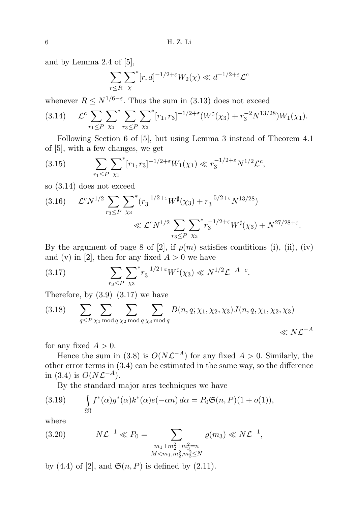and by Lemma 2.4 of [5],

$$
\sum_{r \le R} \sum_{\chi}^* [r, d]^{-1/2 + \varepsilon} W_2(\chi) \ll d^{-1/2 + \varepsilon} \mathcal{L}^c
$$

whenever  $R \leq N^{1/6 - \varepsilon}$ . Thus the sum in (3.13) does not exceed

$$
(3.14) \qquad \mathcal{L}^c \sum_{r_1 \leq P} \sum_{\chi_1}^* \sum_{r_3 \leq P} \sum_{\chi_3}^* [r_1, r_3]^{-1/2 + \varepsilon} (W^\sharp(\chi_3) + r_3^{-2} N^{13/28}) W_1(\chi_1).
$$

Following Section 6 of [5], but using Lemma 3 instead of Theorem 4.1 of [5], with a few changes, we get

(3.15) 
$$
\sum_{r_1 \leq P} \sum_{\chi_1}^* [r_1, r_3]^{-1/2 + \varepsilon} W_1(\chi_1) \ll r_3^{-1/2 + \varepsilon} N^{1/2} \mathcal{L}^c,
$$

so (3.14) does not exceed

$$
(3.16) \qquad \mathcal{L}^c N^{1/2} \sum_{r_3 \leq P} \sum_{\chi_3}^* (r_3^{-1/2 + \varepsilon} W^\sharp(\chi_3) + r_3^{-5/2 + \varepsilon} N^{13/28})
$$
  
\$\ll \mathcal{L}^c N^{1/2} \sum\_{r\_3 \leq P} \sum\_{\chi\_3}^\* r\_3^{-1/2 + \varepsilon} W^\sharp(\chi\_3) + N^{27/28 + \varepsilon}.

By the argument of page 8 of [2], if  $\rho(m)$  satisfies conditions (i), (ii), (iv) and (v) in [2], then for any fixed  $A > 0$  we have

(3.17) 
$$
\sum_{r_3 \leq P} \sum_{\chi_3}^* r_3^{-1/2 + \varepsilon} W^{\sharp}(\chi_3) \ll N^{1/2} \mathcal{L}^{-A - c}.
$$

Therefore, by  $(3.9)$ – $(3.17)$  we have

$$
(3.18) \qquad \sum_{q \leq P} \sum_{\chi_1 \bmod q} \sum_{\chi_2 \bmod q} \sum_{\chi_3 \bmod q} B(n, q; \chi_1, \chi_2, \chi_3) J(n, q, \chi_1, \chi_2, \chi_3) \ll N\mathcal{L}^{-A}
$$

for any fixed  $A > 0$ .

Hence the sum in (3.8) is  $O(N\mathcal{L}^{-A})$  for any fixed  $A > 0$ . Similarly, the other error terms in (3.4) can be estimated in the same way, so the difference in (3.4) is  $O(N\mathcal{L}^{-A})$ .

By the standard major arcs techniques we have

(3.19) 
$$
\int_{\mathfrak{M}} f^*(\alpha) g^*(\alpha) k^*(\alpha) e(-\alpha n) d\alpha = P_0 \mathfrak{S}(n, P)(1 + o(1)),
$$

where

(3.20) 
$$
N\mathcal{L}^{-1} \ll P_0 = \sum_{\substack{m_1 + m_2^2 + m_3^2 = n \\ M < m_1, m_2^2, m_3^2 \le N}} \varrho(m_3) \ll N\mathcal{L}^{-1},
$$

by (4.4) of [2], and  $\mathfrak{S}(n, P)$  is defined by (2.11).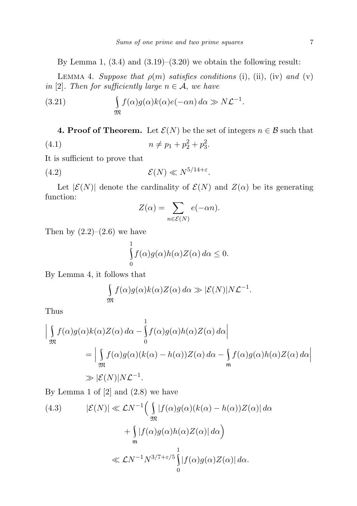By Lemma 1,  $(3.4)$  and  $(3.19)$ – $(3.20)$  we obtain the following result:

LEMMA 4. Suppose that  $\rho(m)$  satisfies conditions (i), (ii), (iv) and (v) in [2]. Then for sufficiently large  $n \in \mathcal{A}$ , we have

(3.21) 
$$
\int_{\mathfrak{M}} f(\alpha)g(\alpha)k(\alpha)e(-\alpha n) d\alpha \gg N\mathcal{L}^{-1}.
$$

**4. Proof of Theorem.** Let  $\mathcal{E}(N)$  be the set of integers  $n \in \mathcal{B}$  such that (4.1)  $n \neq p_1 + p_2^2 + p_3^2$ .

It is sufficient to prove that

$$
(4.2) \t\t\t\mathcal{E}(N) \ll N^{5/14 + \varepsilon}.
$$

Let  $|\mathcal{E}(N)|$  denote the cardinality of  $\mathcal{E}(N)$  and  $Z(\alpha)$  be its generating function:

$$
Z(\alpha) = \sum_{n \in \mathcal{E}(N)} e(-\alpha n).
$$

Then by  $(2.2)$ – $(2.6)$  we have

$$
\int_{0}^{1} f(\alpha)g(\alpha)h(\alpha)Z(\alpha) d\alpha \leq 0.
$$

By Lemma 4, it follows that

$$
\int_{\mathfrak{M}} f(\alpha) g(\alpha) k(\alpha) Z(\alpha) d\alpha \gg |\mathcal{E}(N)| N \mathcal{L}^{-1}.
$$

Thus

$$
\left| \int_{\mathfrak{M}} f(\alpha) g(\alpha) k(\alpha) Z(\alpha) d\alpha - \int_{0}^{1} f(\alpha) g(\alpha) h(\alpha) Z(\alpha) d\alpha \right|
$$
  
= 
$$
\left| \int_{\mathfrak{M}} f(\alpha) g(\alpha) (k(\alpha) - h(\alpha)) Z(\alpha) d\alpha - \int_{\mathfrak{m}} f(\alpha) g(\alpha) h(\alpha) Z(\alpha) d\alpha \right|
$$
  

$$
\gg |\mathcal{E}(N)| N \mathcal{L}^{-1}.
$$

By Lemma 1 of  $[2]$  and  $(2.8)$  we have

(4.3) 
$$
|\mathcal{E}(N)| \ll \mathcal{L}N^{-1} \Big( \int_{\mathfrak{M}} |f(\alpha)g(\alpha)(k(\alpha) - h(\alpha))Z(\alpha)| d\alpha + \int_{\mathfrak{m}} |f(\alpha)g(\alpha)h(\alpha)Z(\alpha)| d\alpha \Big)
$$

$$
\ll \mathcal{L}N^{-1}N^{3/7+\epsilon/5} \int_{0}^{1} |f(\alpha)g(\alpha)Z(\alpha)| d\alpha.
$$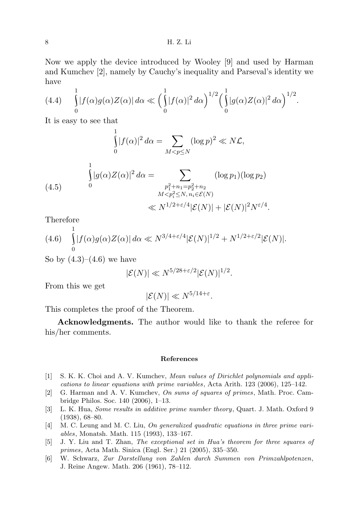Now we apply the device introduced by Wooley [9] and used by Harman and Kumchev [2], namely by Cauchy's inequality and Parseval's identity we have

$$
(4.4) \qquad \int_{0}^{1} |f(\alpha)g(\alpha)Z(\alpha)| d\alpha \ll \Big(\int_{0}^{1} |f(\alpha)|^2 d\alpha\Big)^{1/2} \Big(\int_{0}^{1} |g(\alpha)Z(\alpha)|^2 d\alpha\Big)^{1/2}.
$$

It is easy to see that

1

$$
\int_{0}^{1} |f(\alpha)|^2 d\alpha = \sum_{M < p \le N} (\log p)^2 \ll N\mathcal{L},
$$

(4.5) 
$$
\int_{0}^{1} |g(\alpha)Z(\alpha)|^{2} d\alpha = \sum_{\substack{p_{1}^{2}+n_{1}=p_{2}^{2}+n_{2} \ \text{M} < p_{i}^{2} \leq N, n_{i} \in \mathcal{E}(N)}} (\log p_{1})(\log p_{2})
$$
\n
$$
\ll N^{1/2+\varepsilon/4} |\mathcal{E}(N)| + |\mathcal{E}(N)|^{2} N^{\varepsilon/4}.
$$

Therefore

(4.6) 
$$
\int_{0}^{1} |f(\alpha)g(\alpha)Z(\alpha)| d\alpha \ll N^{3/4+\varepsilon/4} |\mathcal{E}(N)|^{1/2} + N^{1/2+\varepsilon/2} |\mathcal{E}(N)|.
$$

So by  $(4.3)$ – $(4.6)$  we have

$$
|\mathcal{E}(N)| \ll N^{5/28 + \varepsilon/2} |\mathcal{E}(N)|^{1/2}.
$$

From this we get

$$
|\mathcal{E}(N)| \ll N^{5/14+\varepsilon}.
$$

This completes the proof of the Theorem.

Acknowledgments. The author would like to thank the referee for his/her comments.

## References

- [1] S. K. K. Choi and A. V. Kumchev, Mean values of Dirichlet polynomials and applications to linear equations with prime variables, Acta Arith. 123 (2006), 125–142.
- [2] G. Harman and A. V. Kumchev, On sums of squares of primes, Math. Proc. Cambridge Philos. Soc. 140 (2006), 1–13.
- [3] L. K. Hua, Some results in additive prime number theory, Quart. J. Math. Oxford 9 (1938), 68–80.
- [4] M. C. Leung and M. C. Liu, On generalized quadratic equations in three prime variables, Monatsh. Math. 115 (1993), 133–167.
- [5] J. Y. Liu and T. Zhan, The exceptional set in Hua's theorem for three squares of primes, Acta Math. Sinica (Engl. Ser.) 21 (2005), 335–350.
- [6] W. Schwarz, Zur Darstellung von Zahlen durch Summen von Primzahlpotenzen, J. Reine Angew. Math. 206 (1961), 78–112.